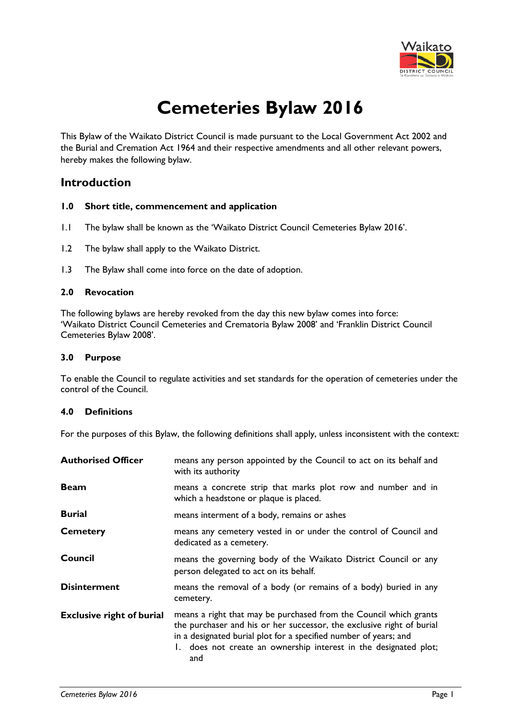

# **Cemeteries Bylaw 2016**

This Bylaw of the Waikato District Council is made pursuant to the Local Government Act 2002 and the Burial and Cremation Act 1964 and their respective amendments and all other relevant powers, hereby makes the following bylaw.

# **Introduction**

#### **1.0 Short title, commencement and application**

- 1.1 The bylaw shall be known as the 'Waikato District Council Cemeteries Bylaw 2016'.
- 1.2 The bylaw shall apply to the Waikato District.
- 1.3 The Bylaw shall come into force on the date of adoption.

# **2.0 Revocation**

The following bylaws are hereby revoked from the day this new bylaw comes into force: 'Waikato District Council Cemeteries and Crematoria Bylaw 2008' and 'Franklin District Council Cemeteries Bylaw 2008'.

## **3.0 Purpose**

To enable the Council to regulate activities and set standards for the operation of cemeteries under the control of the Council.

#### **4.0 Definitions**

For the purposes of this Bylaw, the following definitions shall apply, unless inconsistent with the context:

| <b>Authorised Officer</b>        | means any person appointed by the Council to act on its behalf and<br>with its authority                                                                                                                                                                                                  |
|----------------------------------|-------------------------------------------------------------------------------------------------------------------------------------------------------------------------------------------------------------------------------------------------------------------------------------------|
| <b>Beam</b>                      | means a concrete strip that marks plot row and number and in<br>which a headstone or plaque is placed.                                                                                                                                                                                    |
| <b>Burial</b>                    | means interment of a body, remains or ashes                                                                                                                                                                                                                                               |
| <b>Cemetery</b>                  | means any cemetery vested in or under the control of Council and<br>dedicated as a cemetery.                                                                                                                                                                                              |
| Council                          | means the governing body of the Waikato District Council or any<br>person delegated to act on its behalf.                                                                                                                                                                                 |
| <b>Disinterment</b>              | means the removal of a body (or remains of a body) buried in any<br>cemetery.                                                                                                                                                                                                             |
| <b>Exclusive right of burial</b> | means a right that may be purchased from the Council which grants<br>the purchaser and his or her successor, the exclusive right of burial<br>in a designated burial plot for a specified number of years; and<br>1. does not create an ownership interest in the designated plot;<br>and |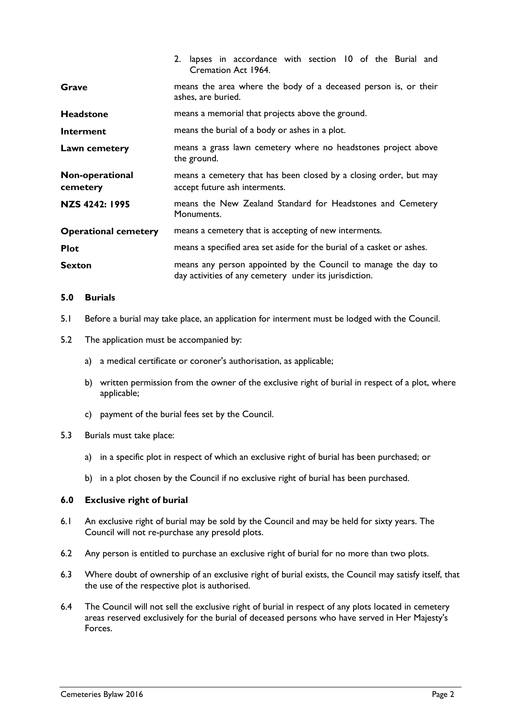|                             | 2. lapses in accordance with section 10 of the Burial and<br>Cremation Act 1964.                                         |
|-----------------------------|--------------------------------------------------------------------------------------------------------------------------|
| Grave                       | means the area where the body of a deceased person is, or their<br>ashes, are buried.                                    |
| <b>Headstone</b>            | means a memorial that projects above the ground.                                                                         |
| Interment                   | means the burial of a body or ashes in a plot.                                                                           |
| Lawn cemetery               | means a grass lawn cemetery where no headstones project above<br>the ground.                                             |
| Non-operational<br>cemetery | means a cemetery that has been closed by a closing order, but may<br>accept future ash interments.                       |
| NZS 4242: 1995              | means the New Zealand Standard for Headstones and Cemetery<br>Monuments.                                                 |
| <b>Operational cemetery</b> | means a cemetery that is accepting of new interments.                                                                    |
| <b>Plot</b>                 | means a specified area set aside for the burial of a casket or ashes.                                                    |
| <b>Sexton</b>               | means any person appointed by the Council to manage the day to<br>day activities of any cemetery under its jurisdiction. |

# **5.0 Burials**

- 5.1 Before a burial may take place, an application for interment must be lodged with the Council.
- 5.2 The application must be accompanied by:
	- a) a medical certificate or coroner's authorisation, as applicable;
	- b) written permission from the owner of the exclusive right of burial in respect of a plot, where applicable;
	- c) payment of the burial fees set by the Council.
- 5.3 Burials must take place:
	- a) in a specific plot in respect of which an exclusive right of burial has been purchased; or
	- b) in a plot chosen by the Council if no exclusive right of burial has been purchased.

#### **6.0 Exclusive right of burial**

- 6.1 An exclusive right of burial may be sold by the Council and may be held for sixty years. The Council will not re-purchase any presold plots.
- 6.2 Any person is entitled to purchase an exclusive right of burial for no more than two plots.
- 6.3 Where doubt of ownership of an exclusive right of burial exists, the Council may satisfy itself, that the use of the respective plot is authorised.
- 6.4 The Council will not sell the exclusive right of burial in respect of any plots located in cemetery areas reserved exclusively for the burial of deceased persons who have served in Her Majesty's Forces.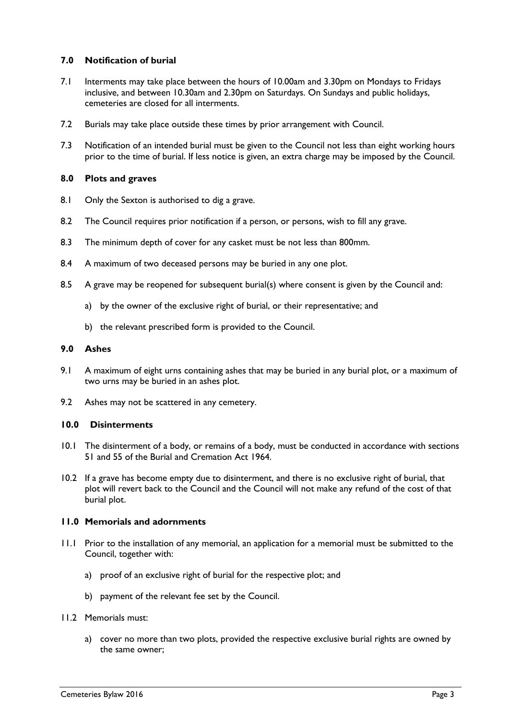# **7.0 Notification of burial**

- 7.1 Interments may take place between the hours of 10.00am and 3.30pm on Mondays to Fridays inclusive, and between 10.30am and 2.30pm on Saturdays. On Sundays and public holidays, cemeteries are closed for all interments.
- 7.2 Burials may take place outside these times by prior arrangement with Council.
- 7.3 Notification of an intended burial must be given to the Council not less than eight working hours prior to the time of burial. If less notice is given, an extra charge may be imposed by the Council.

# **8.0 Plots and graves**

- 8.1 Only the Sexton is authorised to dig a grave.
- 8.2 The Council requires prior notification if a person, or persons, wish to fill any grave.
- 8.3 The minimum depth of cover for any casket must be not less than 800mm.
- 8.4 A maximum of two deceased persons may be buried in any one plot.
- 8.5 A grave may be reopened for subsequent burial(s) where consent is given by the Council and:
	- a) by the owner of the exclusive right of burial, or their representative; and
	- b) the relevant prescribed form is provided to the Council.

#### **9.0 Ashes**

- 9.1 A maximum of eight urns containing ashes that may be buried in any burial plot, or a maximum of two urns may be buried in an ashes plot.
- 9.2 Ashes may not be scattered in any cemetery.

#### **10.0 Disinterments**

- 10.1 The disinterment of a body, or remains of a body, must be conducted in accordance with sections 51 and 55 of the Burial and Cremation Act 1964.
- 10.2 If a grave has become empty due to disinterment, and there is no exclusive right of burial, that plot will revert back to the Council and the Council will not make any refund of the cost of that burial plot.

#### **11.0 Memorials and adornments**

- 11.1 Prior to the installation of any memorial, an application for a memorial must be submitted to the Council, together with:
	- a) proof of an exclusive right of burial for the respective plot; and
	- b) payment of the relevant fee set by the Council.
- 11.2 Memorials must:
	- a) cover no more than two plots, provided the respective exclusive burial rights are owned by the same owner;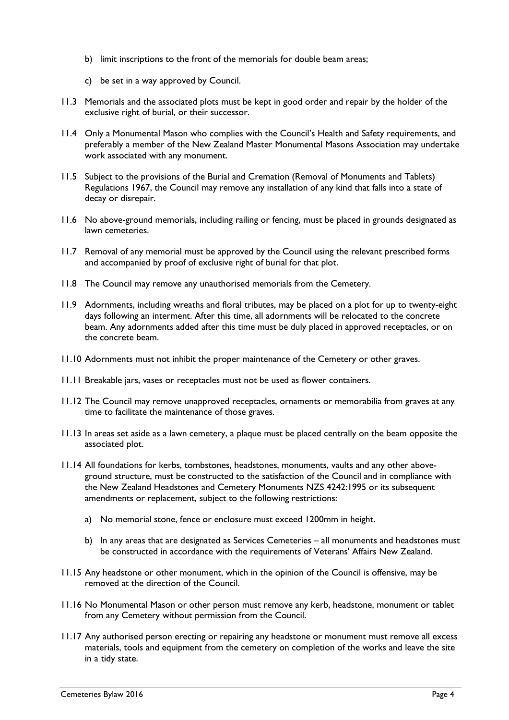- b) limit inscriptions to the front of the memorials for double beam areas;
- c) be set in a way approved by Council.
- 11.3 Memorials and the associated plots must be kept in good order and repair by the holder of the exclusive right of burial, or their successor.
- 11.4 Only a Monumental Mason who complies with the Council's Health and Safety requirements, and preferably a member of the New Zealand Master Monumental Masons Association may undertake work associated with any monument.
- 11.5 Subject to the provisions of the Burial and Cremation (Removal of Monuments and Tablets) Regulations 1967, the Council may remove any installation of any kind that falls into a state of decay or disrepair.
- 11.6 No above-ground memorials, including railing or fencing, must be placed in grounds designated as lawn cemeteries.
- 11.7 Removal of any memorial must be approved by the Council using the relevant prescribed forms and accompanied by proof of exclusive right of burial for that plot.
- 11.8 The Council may remove any unauthorised memorials from the Cemetery.
- 11.9 Adornments, including wreaths and floral tributes, may be placed on a plot for up to twenty-eight days following an interment. After this time, all adornments will be relocated to the concrete beam. Any adornments added after this time must be duly placed in approved receptacles, or on the concrete beam.
- 11.10 Adornments must not inhibit the proper maintenance of the Cemetery or other graves.
- 11.11 Breakable jars, vases or receptacles must not be used as flower containers.
- 11.12 The Council may remove unapproved receptacles, ornaments or memorabilia from graves at any time to facilitate the maintenance of those graves.
- 11.13 In areas set aside as a lawn cemetery, a plaque must be placed centrally on the beam opposite the associated plot.
- 11.14 All foundations for kerbs, tombstones, headstones, monuments, vaults and any other aboveground structure, must be constructed to the satisfaction of the Council and in compliance with the New Zealand Headstones and Cemetery Monuments NZS 4242:1995 or its subsequent amendments or replacement, subject to the following restrictions:
	- a) No memorial stone, fence or enclosure must exceed 1200mm in height.
	- b) In any areas that are designated as Services Cemeteries all monuments and headstones must be constructed in accordance with the requirements of Veterans' Affairs New Zealand.
- 11.15 Any headstone or other monument, which in the opinion of the Council is offensive, may be removed at the direction of the Council.
- 11.16 No Monumental Mason or other person must remove any kerb, headstone, monument or tablet from any Cemetery without permission from the Council.
- 11.17 Any authorised person erecting or repairing any headstone or monument must remove all excess materials, tools and equipment from the cemetery on completion of the works and leave the site in a tidy state.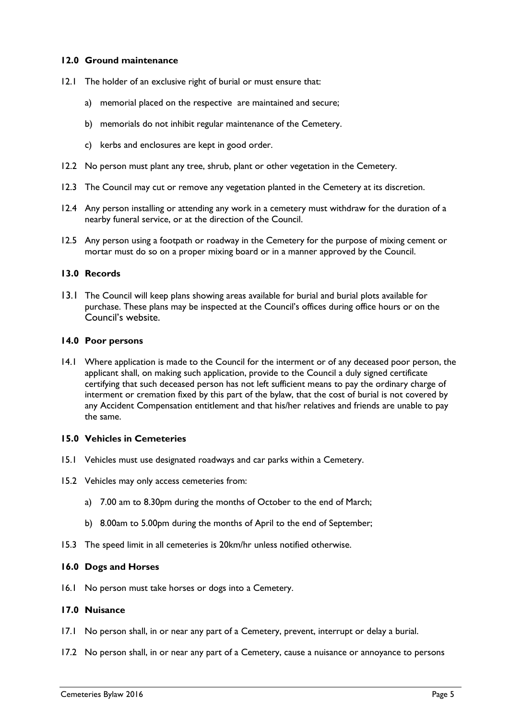# **12.0 Ground maintenance**

- 12.1 The holder of an exclusive right of burial or must ensure that:
	- a) memorial placed on the respective are maintained and secure;
	- b) memorials do not inhibit regular maintenance of the Cemetery.
	- c) kerbs and enclosures are kept in good order.
- 12.2 No person must plant any tree, shrub, plant or other vegetation in the Cemetery.
- 12.3 The Council may cut or remove any vegetation planted in the Cemetery at its discretion.
- 12.4 Any person installing or attending any work in a cemetery must withdraw for the duration of a nearby funeral service, or at the direction of the Council.
- 12.5 Any person using a footpath or roadway in the Cemetery for the purpose of mixing cement or mortar must do so on a proper mixing board or in a manner approved by the Council.

# **13.0 Records**

13.1 The Council will keep plans showing areas available for burial and burial plots available for purchase. These plans may be inspected at the Council's offices during office hours or on the Council's website.

#### **14.0 Poor persons**

14.1 Where application is made to the Council for the interment or of any deceased poor person, the applicant shall, on making such application, provide to the Council a duly signed certificate certifying that such deceased person has not left sufficient means to pay the ordinary charge of interment or cremation fixed by this part of the bylaw, that the cost of burial is not covered by any Accident Compensation entitlement and that his/her relatives and friends are unable to pay the same.

### **15.0 Vehicles in Cemeteries**

- 15.1 Vehicles must use designated roadways and car parks within a Cemetery.
- 15.2 Vehicles may only access cemeteries from:
	- a) 7.00 am to 8.30pm during the months of October to the end of March;
	- b) 8.00am to 5.00pm during the months of April to the end of September;
- 15.3 The speed limit in all cemeteries is 20km/hr unless notified otherwise.

## **16.0 Dogs and Horses**

16.1 No person must take horses or dogs into a Cemetery.

#### **17.0 Nuisance**

- 17.1 No person shall, in or near any part of a Cemetery, prevent, interrupt or delay a burial.
- 17.2 No person shall, in or near any part of a Cemetery, cause a nuisance or annoyance to persons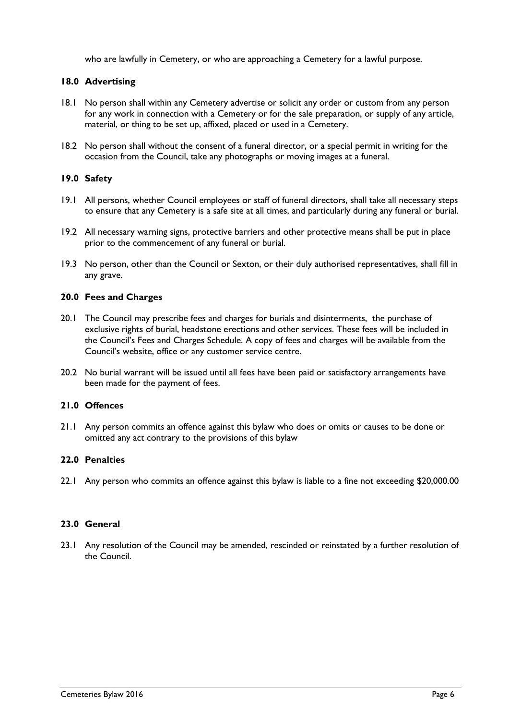who are lawfully in Cemetery, or who are approaching a Cemetery for a lawful purpose.

# **18.0 Advertising**

- 18.1 No person shall within any Cemetery advertise or solicit any order or custom from any person for any work in connection with a Cemetery or for the sale preparation, or supply of any article, material, or thing to be set up, affixed, placed or used in a Cemetery.
- 18.2 No person shall without the consent of a funeral director, or a special permit in writing for the occasion from the Council, take any photographs or moving images at a funeral.

# **19.0 Safety**

- 19.1 All persons, whether Council employees or staff of funeral directors, shall take all necessary steps to ensure that any Cemetery is a safe site at all times, and particularly during any funeral or burial.
- 19.2 All necessary warning signs, protective barriers and other protective means shall be put in place prior to the commencement of any funeral or burial.
- 19.3 No person, other than the Council or Sexton, or their duly authorised representatives, shall fill in any grave.

# **20.0 Fees and Charges**

- 20.1 The Council may prescribe fees and charges for burials and disinterments, the purchase of exclusive rights of burial, headstone erections and other services. These fees will be included in the Council's Fees and Charges Schedule. A copy of fees and charges will be available from the Council's website, office or any customer service centre.
- 20.2 No burial warrant will be issued until all fees have been paid or satisfactory arrangements have been made for the payment of fees.

# **21.0 Offences**

21.1 Any person commits an offence against this bylaw who does or omits or causes to be done or omitted any act contrary to the provisions of this bylaw

# **22.0 Penalties**

22.1 Any person who commits an offence against this bylaw is liable to a fine not exceeding \$20,000.00

# **23.0 General**

23.1 Any resolution of the Council may be amended, rescinded or reinstated by a further resolution of the Council.